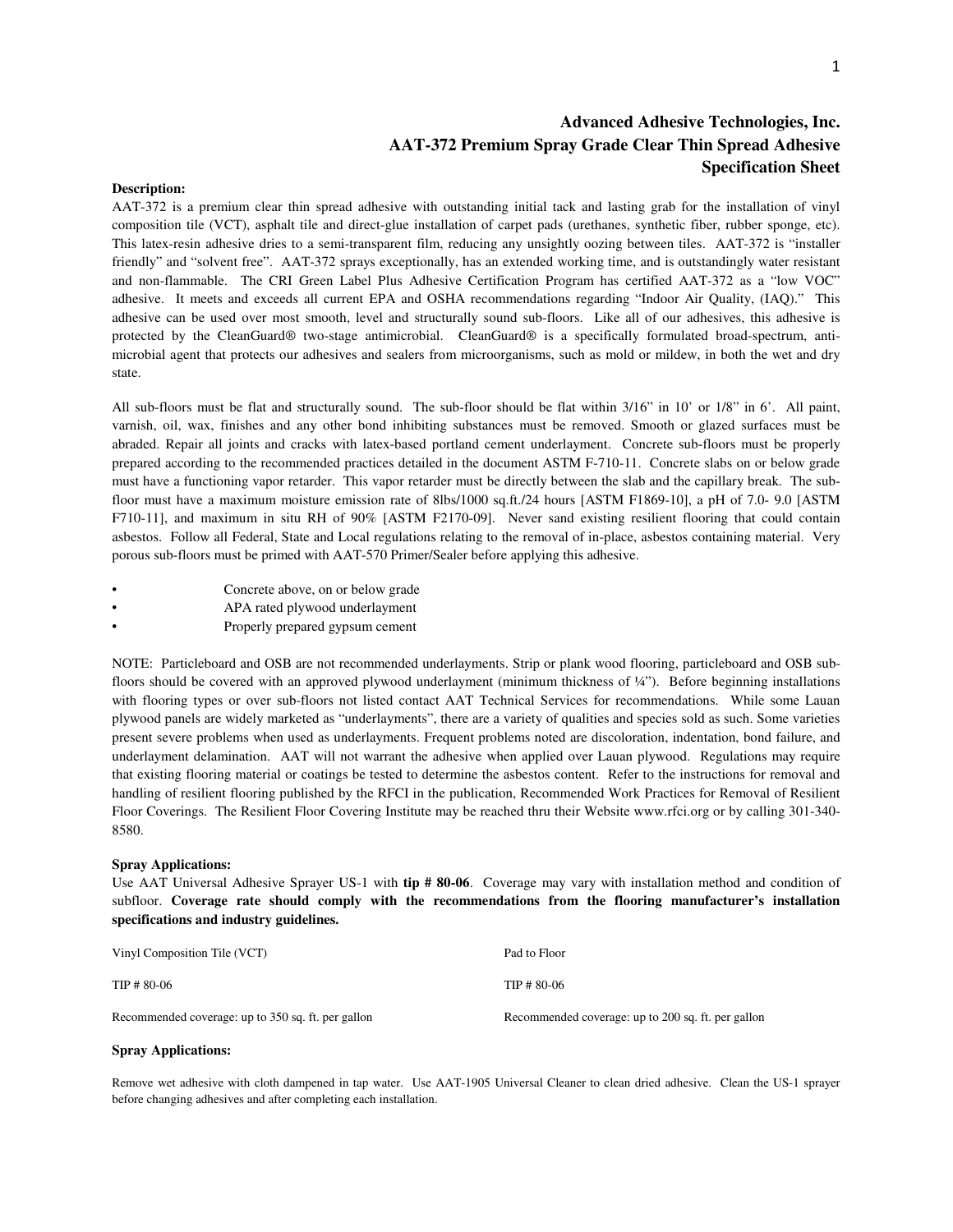### **Advanced Adhesive Technologies, Inc. AAT-372 Premium Spray Grade Clear Thin Spread Adhesive Specification Sheet**

#### **Description:**

AAT-372 is a premium clear thin spread adhesive with outstanding initial tack and lasting grab for the installation of vinyl composition tile (VCT), asphalt tile and direct-glue installation of carpet pads (urethanes, synthetic fiber, rubber sponge, etc). This latex-resin adhesive dries to a semi-transparent film, reducing any unsightly oozing between tiles. AAT-372 is "installer friendly" and "solvent free". AAT-372 sprays exceptionally, has an extended working time, and is outstandingly water resistant and non-flammable. The CRI Green Label Plus Adhesive Certification Program has certified AAT-372 as a "low VOC" adhesive. It meets and exceeds all current EPA and OSHA recommendations regarding "Indoor Air Quality, (IAQ)." This adhesive can be used over most smooth, level and structurally sound sub-floors. Like all of our adhesives, this adhesive is protected by the CleanGuard® two-stage antimicrobial. CleanGuard® is a specifically formulated broad-spectrum, antimicrobial agent that protects our adhesives and sealers from microorganisms, such as mold or mildew, in both the wet and dry state.

All sub-floors must be flat and structurally sound. The sub-floor should be flat within 3/16" in 10' or 1/8" in 6'. All paint, varnish, oil, wax, finishes and any other bond inhibiting substances must be removed. Smooth or glazed surfaces must be abraded. Repair all joints and cracks with latex-based portland cement underlayment. Concrete sub-floors must be properly prepared according to the recommended practices detailed in the document ASTM F-710-11. Concrete slabs on or below grade must have a functioning vapor retarder. This vapor retarder must be directly between the slab and the capillary break. The subfloor must have a maximum moisture emission rate of 8lbs/1000 sq.ft./24 hours [ASTM F1869-10], a pH of 7.0- 9.0 [ASTM F710-11], and maximum in situ RH of 90% [ASTM F2170-09]. Never sand existing resilient flooring that could contain asbestos. Follow all Federal, State and Local regulations relating to the removal of in-place, asbestos containing material. Very porous sub-floors must be primed with AAT-570 Primer/Sealer before applying this adhesive.

- Concrete above, on or below grade
- APA rated plywood underlayment
- Properly prepared gypsum cement

NOTE: Particleboard and OSB are not recommended underlayments. Strip or plank wood flooring, particleboard and OSB subfloors should be covered with an approved plywood underlayment (minimum thickness of ¼"). Before beginning installations with flooring types or over sub-floors not listed contact AAT Technical Services for recommendations. While some Lauan plywood panels are widely marketed as "underlayments", there are a variety of qualities and species sold as such. Some varieties present severe problems when used as underlayments. Frequent problems noted are discoloration, indentation, bond failure, and underlayment delamination. AAT will not warrant the adhesive when applied over Lauan plywood. Regulations may require that existing flooring material or coatings be tested to determine the asbestos content. Refer to the instructions for removal and handling of resilient flooring published by the RFCI in the publication, Recommended Work Practices for Removal of Resilient Floor Coverings. The Resilient Floor Covering Institute may be reached thru their Website www.rfci.org or by calling 301-340- 8580.

#### **Spray Applications:**

Use AAT Universal Adhesive Sprayer US-1 with **tip # 80-06**. Coverage may vary with installation method and condition of subfloor. **Coverage rate should comply with the recommendations from the flooring manufacturer's installation specifications and industry guidelines.** 

| Vinyl Composition Tile (VCT)                       | Pad to Floor                                       |
|----------------------------------------------------|----------------------------------------------------|
| $TIP # 80-06$                                      | $TIP \# 80-06$                                     |
| Recommended coverage: up to 350 sq. ft. per gallon | Recommended coverage: up to 200 sq. ft. per gallon |

#### **Spray Applications:**

Remove wet adhesive with cloth dampened in tap water. Use AAT-1905 Universal Cleaner to clean dried adhesive. Clean the US-1 sprayer before changing adhesives and after completing each installation.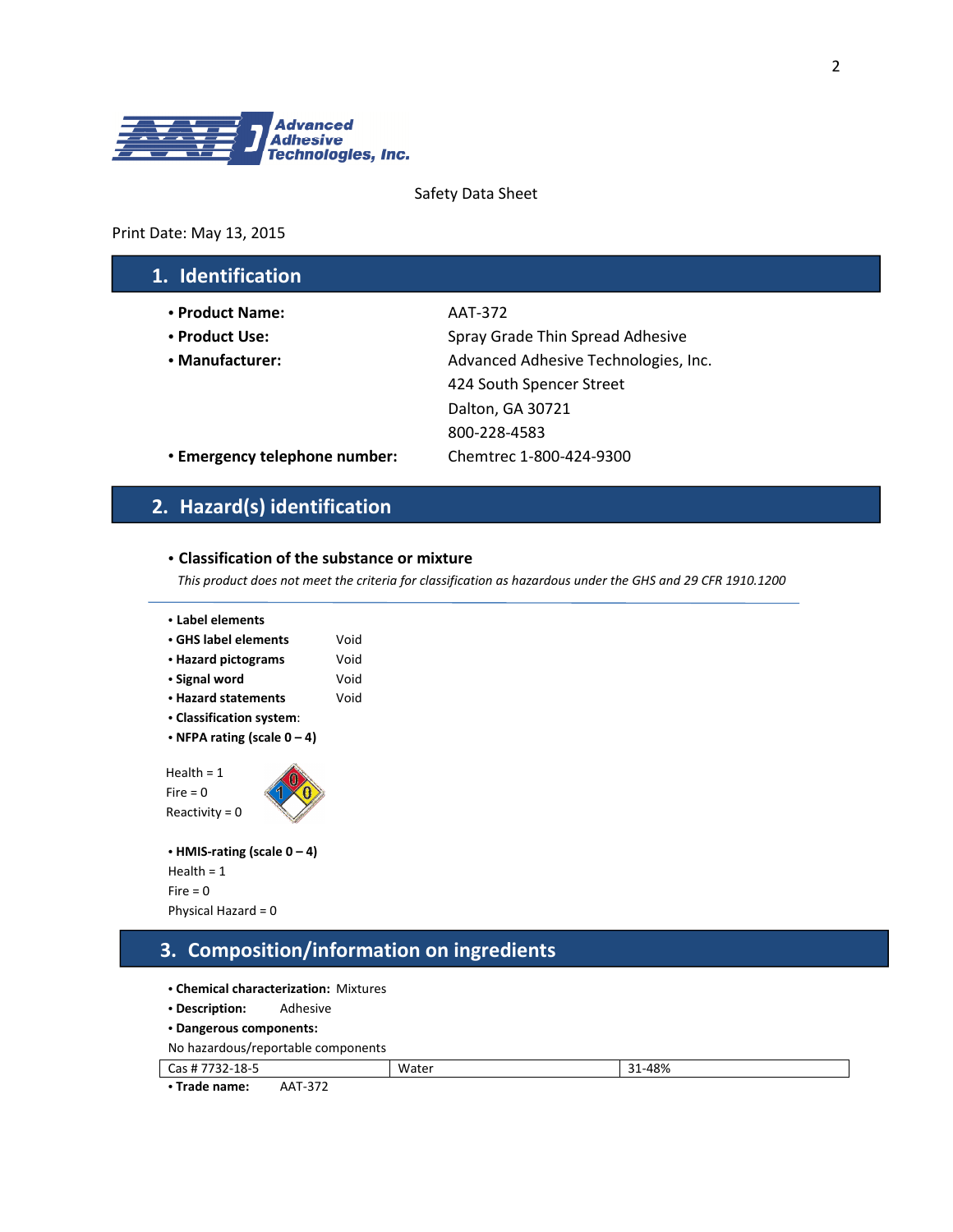

#### Safety Data Sheet

#### Print Date: May 13, 2015

## 1. Identification

- **•** Product Name: AAT-372
- 
- 

• Product Use: Spray Grade Thin Spread Adhesive • Manufacturer:  $\blacksquare$  Advanced Adhesive Technologies, Inc. 424 South Spencer Street Dalton, GA 30721 800-228-4583

• Emergency telephone number: Chemtrec 1-800-424-9300

## 2. Hazard(s) identification

#### **•** Classification of the substance or mixture

This product does not meet the criteria for classification as hazardous under the GHS and 29 CFR 1910.1200

| • Label elements<br>$\cdot$ GHS label elements<br>• Hazard pictograms<br>• Signal word<br>• Hazard statements<br>• Classification system:<br>• NFPA rating (scale $0 - 4$ ) | Void<br>Void<br>Void<br>Void |
|-----------------------------------------------------------------------------------------------------------------------------------------------------------------------------|------------------------------|
| Health $= 1$<br>Fire = $0$<br>Reactivity = $0$                                                                                                                              |                              |

```
• HMIS-rating (scale 0 – 4) 
Health = 1 
Fire = 0Physical Hazard = 0
```
## 3. Composition/information on ingredients

- **•** Chemical characterization: Mixtures
- **•** Description: Adhesive
- **•** Dangerous components:

```
No hazardous/reportable components
```

| Cas#<br>טי<br>52-10-5   |                                               | Water | 1-48%<br>$\sim$<br>ັ |
|-------------------------|-----------------------------------------------|-------|----------------------|
| $\sim$<br>. Trada namar | $\sim$ $\sim$ $\sim$<br>$\Lambda$ $\Lambda$ T |       |                      |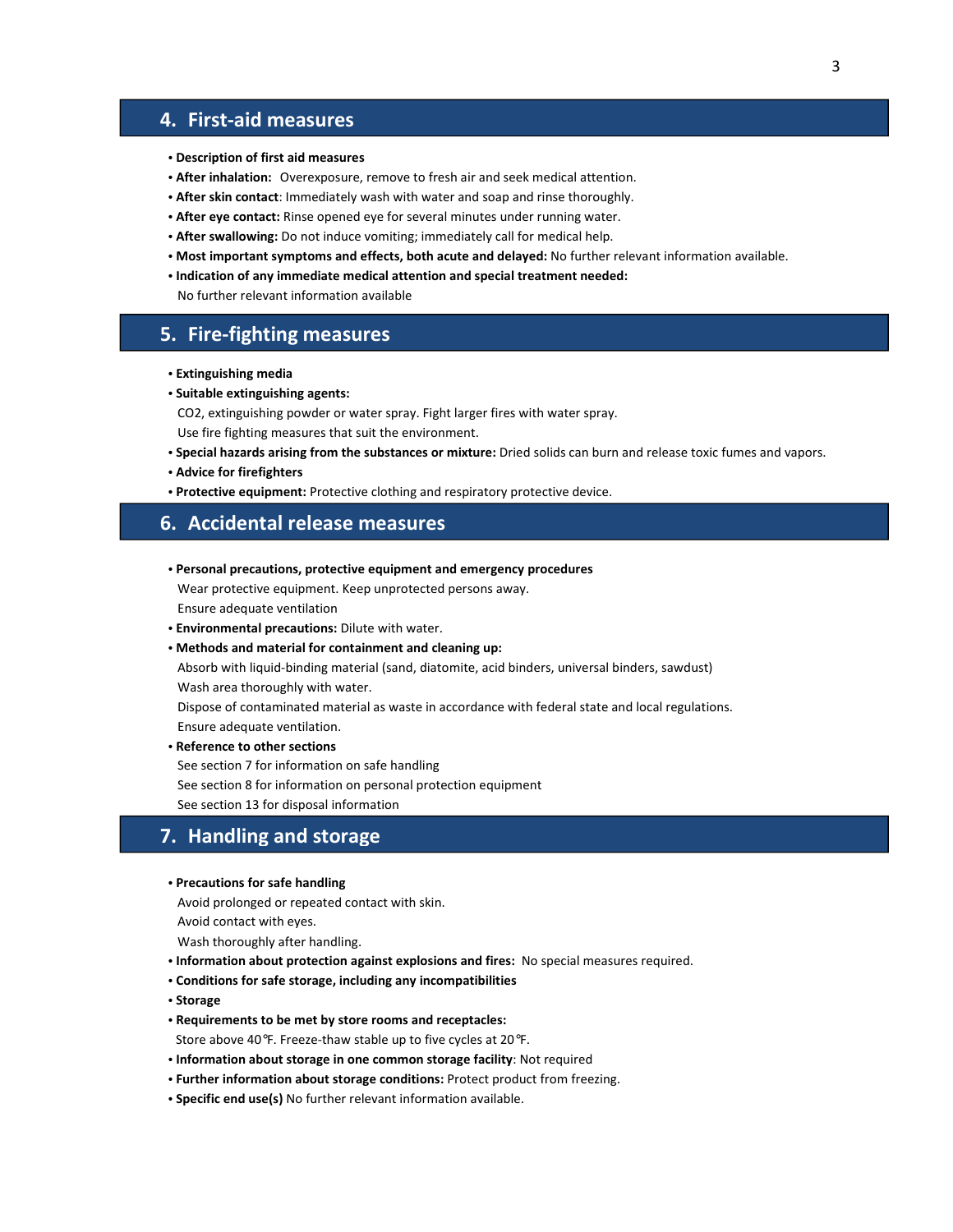### 4. First-aid measures

- **•** Description of first aid measures
- **•** After inhalation: Overexposure, remove to fresh air and seek medical attention.
- **•** After skin contact: Immediately wash with water and soap and rinse thoroughly.
- **•** After eye contact: Rinse opened eye for several minutes under running water.
- **•** After swallowing: Do not induce vomiting; immediately call for medical help.
- **•** Most important symptoms and effects, both acute and delayed: No further relevant information available.
- **•** Indication of any immediate medical attention and special treatment needed:

No further relevant information available

### 5. Fire-fighting measures

- **•** Extinguishing media
- **•** Suitable extinguishing agents:

CO2, extinguishing powder or water spray. Fight larger fires with water spray.

Use fire fighting measures that suit the environment.

- **•** Special hazards arising from the substances or mixture: Dried solids can burn and release toxic fumes and vapors.
- **•** Advice for firefighters
- **•** Protective equipment: Protective clothing and respiratory protective device.

#### 6. Accidental release measures

**•** Personal precautions, protective equipment and emergency procedures

 Wear protective equipment. Keep unprotected persons away. Ensure adequate ventilation

- **•** Environmental precautions: Dilute with water.
- **•** Methods and material for containment and cleaning up:

 Absorb with liquid-binding material (sand, diatomite, acid binders, universal binders, sawdust) Wash area thoroughly with water.

 Dispose of contaminated material as waste in accordance with federal state and local regulations. Ensure adequate ventilation.

**•** Reference to other sections

See section 7 for information on safe handling

See section 8 for information on personal protection equipment

See section 13 for disposal information

### 7. Handling and storage

#### **•** Precautions for safe handling

Avoid prolonged or repeated contact with skin.

Avoid contact with eyes.

Wash thoroughly after handling.

- **•** Information about protection against explosions and fires: No special measures required.
- **•** Conditions for safe storage, including any incompatibilities
- **•** Storage
- **•** Requirements to be met by store rooms and receptacles:

Store above 40°F. Freeze-thaw stable up to five cycles at 20°F.

- **•** Information about storage in one common storage facility: Not required
- **•** Further information about storage conditions: Protect product from freezing.
- **•** Specific end use(s) No further relevant information available.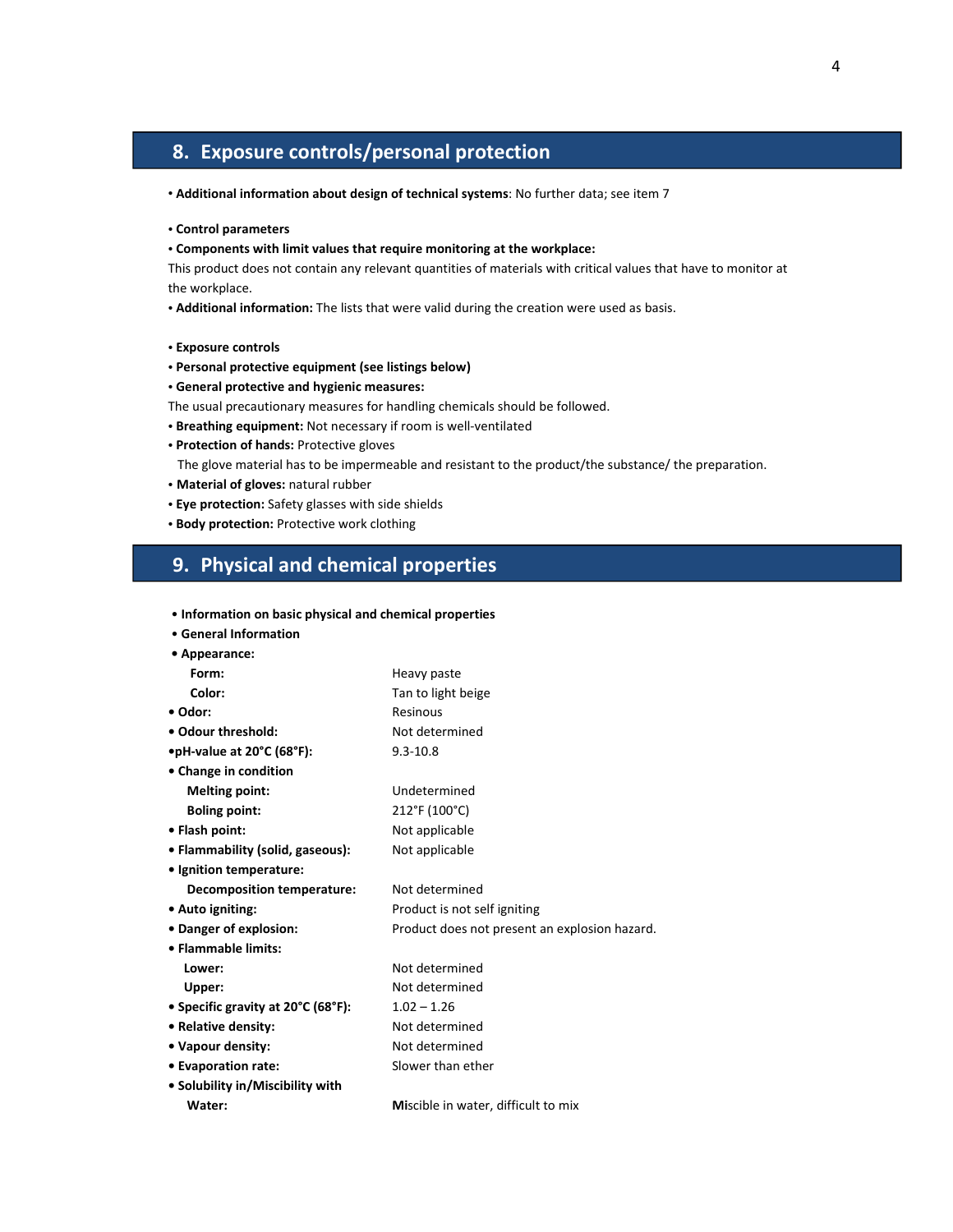# 8. Exposure controls/personal protection

- Additional information about design of technical systems: No further data; see item 7
- **•** Control parameters
- **•** Components with limit values that require monitoring at the workplace:

This product does not contain any relevant quantities of materials with critical values that have to monitor at the workplace.

**•** Additional information: The lists that were valid during the creation were used as basis.

- **•** Exposure controls
- **•** Personal protective equipment (see listings below)
- **•** General protective and hygienic measures:
- The usual precautionary measures for handling chemicals should be followed.
- **•** Breathing equipment: Not necessary if room is well-ventilated
- **•** Protection of hands: Protective gloves

The glove material has to be impermeable and resistant to the product/the substance/ the preparation.

- Material of gloves: natural rubber
- **•** Eye protection: Safety glasses with side shields
- **•** Body protection: Protective work clothing

### 9. Physical and chemical properties

| • Information on basic physical and chemical properties |                                               |
|---------------------------------------------------------|-----------------------------------------------|
| • General Information                                   |                                               |
| • Appearance:                                           |                                               |
| Form:                                                   | Heavy paste                                   |
| Color:                                                  | Tan to light beige                            |
| • Odor:                                                 | Resinous                                      |
| • Odour threshold:                                      | Not determined                                |
| $\bullet$ pH-value at 20°C (68°F):                      | $9.3 - 10.8$                                  |
| • Change in condition                                   |                                               |
| <b>Melting point:</b>                                   | Undetermined                                  |
| <b>Boling point:</b>                                    | 212°F (100°C)                                 |
| • Flash point:                                          | Not applicable                                |
| • Flammability (solid, gaseous):                        | Not applicable                                |
| • Ignition temperature:                                 |                                               |
| Decomposition temperature:                              | Not determined                                |
| • Auto igniting:                                        | Product is not self igniting                  |
| • Danger of explosion:                                  | Product does not present an explosion hazard. |
| • Flammable limits:                                     |                                               |
| Lower:                                                  | Not determined                                |
| Upper:                                                  | Not determined                                |
| • Specific gravity at 20°C (68°F):                      | $1.02 - 1.26$                                 |
| • Relative density:                                     | Not determined                                |
| • Vapour density:                                       | Not determined                                |
| • Evaporation rate:                                     | Slower than ether                             |
| • Solubility in/Miscibility with                        |                                               |
| Water:                                                  | Miscible in water, difficult to mix           |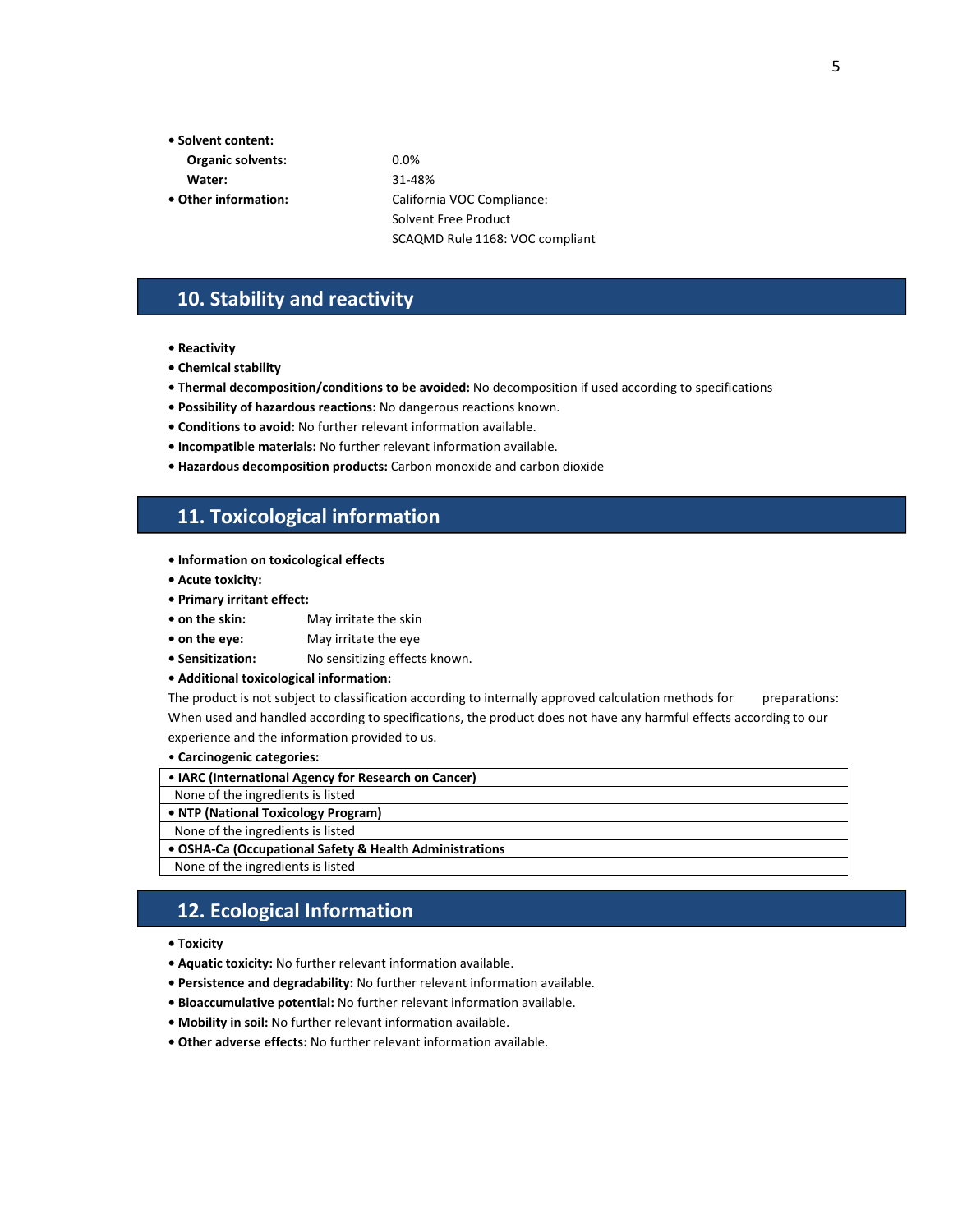- Solvent content:
- Organic solvents: 0.0%
- 
- 

 Water: 31-48% • Other information: California VOC Compliance: Solvent Free Product SCAQMD Rule 1168: VOC compliant

### 10. Stability and reactivity

- Reactivity
- Chemical stability
- Thermal decomposition/conditions to be avoided: No decomposition if used according to specifications
- Possibility of hazardous reactions: No dangerous reactions known.
- Conditions to avoid: No further relevant information available.
- Incompatible materials: No further relevant information available.
- Hazardous decomposition products: Carbon monoxide and carbon dioxide

## 11. Toxicological information

- Information on toxicological effects
- Acute toxicity:
- Primary irritant effect:
- on the skin: May irritate the skin
- on the eye: May irritate the eye
- Sensitization: No sensitizing effects known.
- Additional toxicological information:

The product is not subject to classification according to internally approved calculation methods for preparations: When used and handled according to specifications, the product does not have any harmful effects according to our experience and the information provided to us.

#### • Carcinogenic categories:

None of the ingredients is listed

### 12. Ecological Information

• Toxicity

L

- Aquatic toxicity: No further relevant information available.
- Persistence and degradability: No further relevant information available.
- Bioaccumulative potential: No further relevant information available.
- Mobility in soil: No further relevant information available.
- Other adverse effects: No further relevant information available.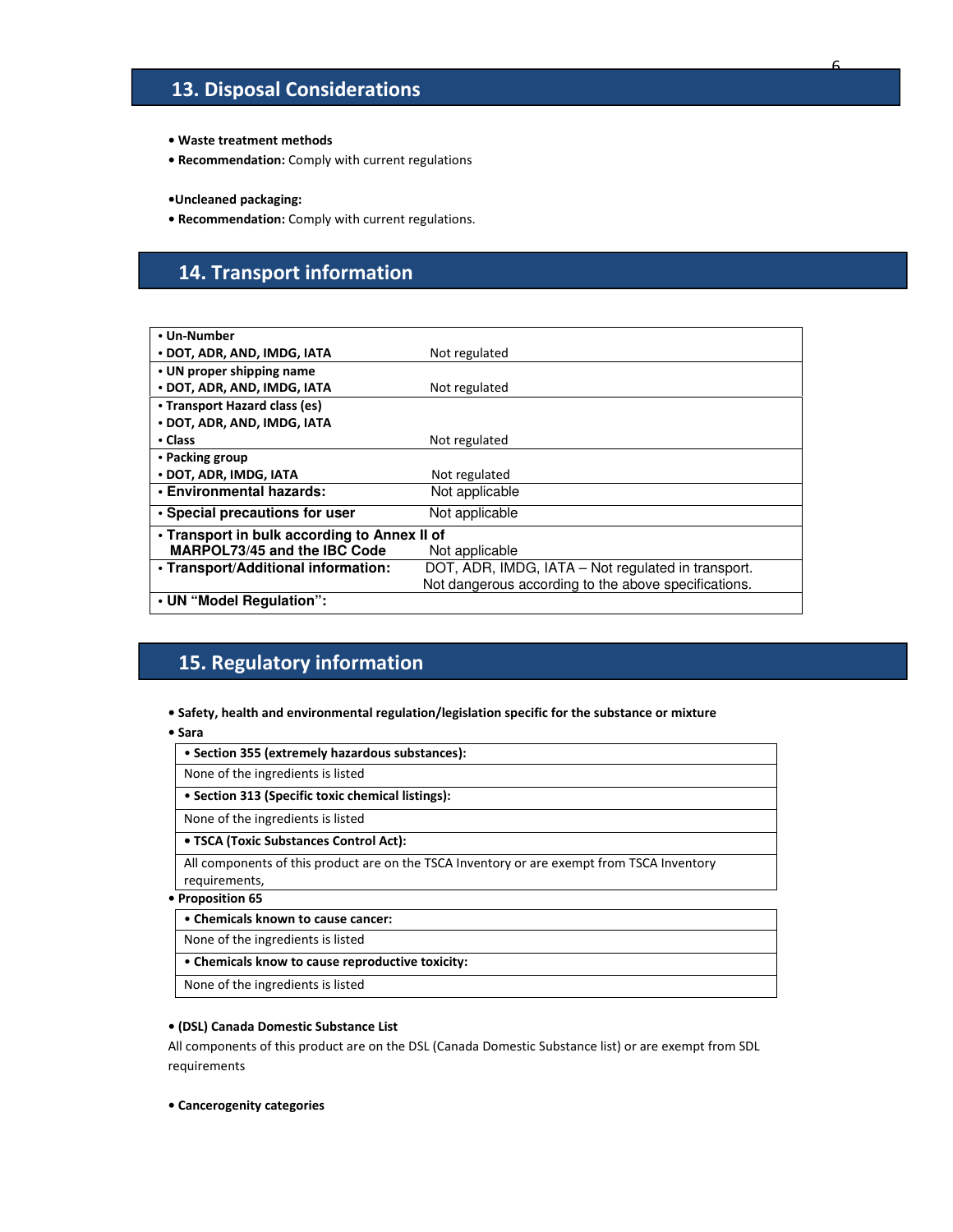# 13. Disposal Considerations

- Waste treatment methods
- Recommendation: Comply with current regulations

•Uncleaned packaging:

• Recommendation: Comply with current regulations.

# 14. Transport information

| • Un-Number                                  |                                                      |
|----------------------------------------------|------------------------------------------------------|
| • DOT, ADR, AND, IMDG, IATA                  | Not regulated                                        |
| • UN proper shipping name                    |                                                      |
| • DOT, ADR, AND, IMDG, IATA                  | Not regulated                                        |
| • Transport Hazard class (es)                |                                                      |
| • DOT, ADR, AND, IMDG, IATA                  |                                                      |
| • Class                                      | Not regulated                                        |
| • Packing group                              |                                                      |
| • DOT, ADR, IMDG, IATA                       | Not regulated                                        |
| • Environmental hazards:                     | Not applicable                                       |
| • Special precautions for user               | Not applicable                                       |
| • Transport in bulk according to Annex II of |                                                      |
| <b>MARPOL73/45 and the IBC Code</b>          | Not applicable                                       |
| . Transport/Additional information:          | DOT, ADR, IMDG, IATA - Not regulated in transport.   |
|                                              | Not dangerous according to the above specifications. |
| • UN "Model Regulation":                     |                                                      |

# 15. Regulatory information

- Safety, health and environmental regulation/legislation specific for the substance or mixture
- Sara

| • Section 355 (extremely hazardous substances):                                                             |
|-------------------------------------------------------------------------------------------------------------|
| None of the ingredients is listed                                                                           |
| • Section 313 (Specific toxic chemical listings):                                                           |
| None of the ingredients is listed                                                                           |
| • TSCA (Toxic Substances Control Act):                                                                      |
| All components of this product are on the TSCA Inventory or are exempt from TSCA Inventory<br>requirements, |
| 医心脏病 医心脏 医血管切除术 建氯甲                                                                                         |

#### • Proposition 65

• Chemicals known to cause cancer:

None of the ingredients is listed

• Chemicals know to cause reproductive toxicity:

None of the ingredients is listed

#### • (DSL) Canada Domestic Substance List

All components of this product are on the DSL (Canada Domestic Substance list) or are exempt from SDL requirements

• Cancerogenity categories